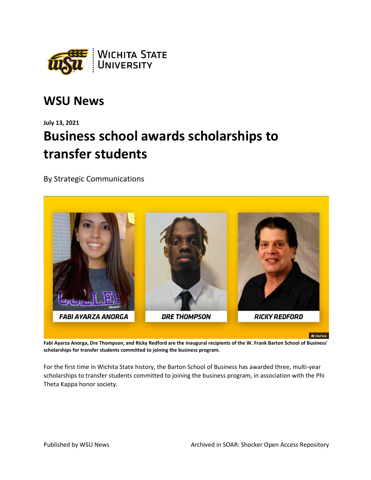

## **WSU News**

## **July 13, 2021 Business school awards scholarships to transfer students**

By Strategic Communications



**Fabi Ayarza Anorga, Dre Thompson, and Ricky Redford are the inaugural recipients of the W. Frank Barton School of Business' scholarships for transfer students committed to joining the business program.**

For the first time in Wichita State history, the Barton School of Business has awarded three, multi-year scholarships to transfer students committed to joining the business program, in association with the Phi Theta Kappa honor society.